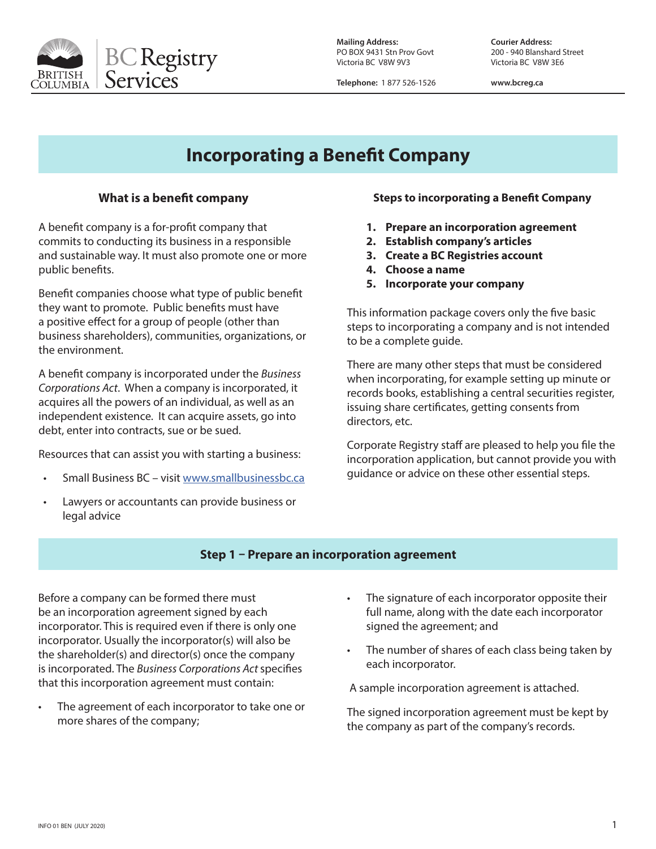

PO BOX 9431 Stn Prov Govt Victoria BC V8W 9V3 Victoria BC V8W 3E6

**Mailing Address: Courier Address:**

**Telephone:** 1 877 526-1526 **www.bcreg.ca**

# **Incorporating a Benefit Company**

## **What is a benefit company**

A benefit company is a for-profit company that commits to conducting its business in a responsible and sustainable way. It must also promote one or more public benefits.

Benefit companies choose what type of public benefit they want to promote. Public benefits must have a positive effect for a group of people (other than business shareholders), communities, organizations, or the environment.

A benefit company is incorporated under the *Business Corporations Act*. When a company is incorporated, it acquires all the powers of an individual, as well as an independent existence. It can acquire assets, go into debt, enter into contracts, sue or be sued.

Resources that can assist you with starting a business:

- Small Business BC visit www.smallbusinessbc.ca
- Lawyers or accountants can provide business or legal advice

#### **Steps to incorporating a Benefit Company**

- **1. Prepare an incorporation agreement**
- **2. Establish company's articles**
- **3. Create a BC Registries account**
- **4. Choose a name**
- **5. Incorporate your company**

This information package covers only the five basic steps to incorporating a company and is not intended to be a complete guide.

There are many other steps that must be considered when incorporating, for example setting up minute or records books, establishing a central securities register, issuing share certificates, getting consents from directors, etc.

Corporate Registry staff are pleased to help you file the incorporation application, but cannot provide you with guidance or advice on these other essential steps.

#### **Step 1 – Prepare an incorporation agreement**

Before a company can be formed there must be an incorporation agreement signed by each incorporator. This is required even if there is only one incorporator. Usually the incorporator(s) will also be the shareholder(s) and director(s) once the company is incorporated. The *Business Corporations Act* specifies that this incorporation agreement must contain:

- The agreement of each incorporator to take one or more shares of the company;
- The signature of each incorporator opposite their full name, along with the date each incorporator signed the agreement; and
- The number of shares of each class being taken by each incorporator.

A sample incorporation agreement is attached.

The signed incorporation agreement must be kept by the company as part of the company's records.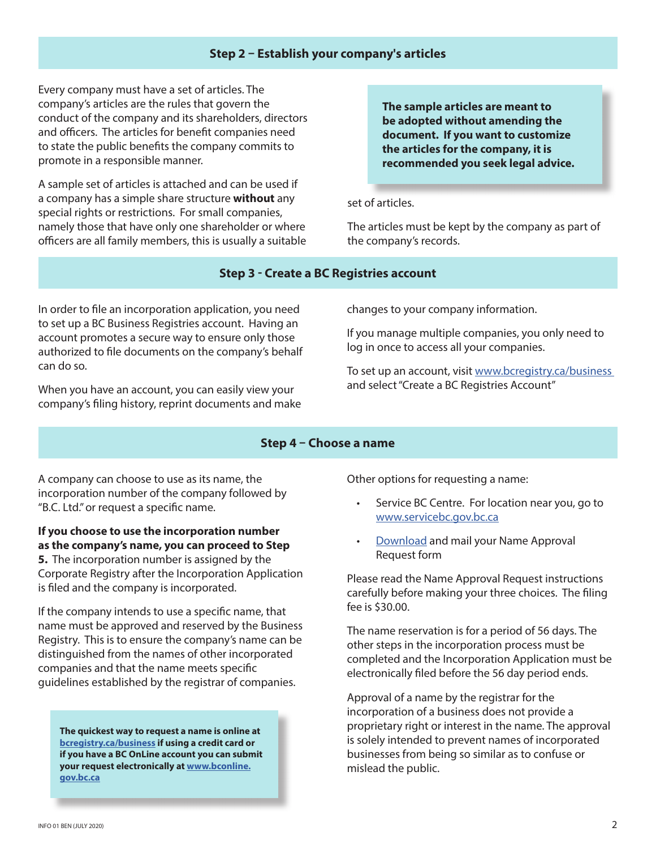#### **Step 2 – Establish your company's articles**

Every company must have a set of articles. The company's articles are the rules that govern the conduct of the company and its shareholders, directors and officers. The articles for benefit companies need to state the public benefits the company commits to promote in a responsible manner.

A sample set of articles is attached and can be used if a company has a simple share structure **without** any special rights or restrictions. For small companies, namely those that have only one shareholder or where officers are all family members, this is usually a suitable **The sample articles are meant to be adopted without amending the document. If you want to customize the articles for the company, it is recommended you seek legal advice.**

set of articles.

The articles must be kept by the company as part of the company's records.

#### **Step 3 - Create a BC Registries account**

In order to file an incorporation application, you need to set up a BC Business Registries account. Having an account promotes a secure way to ensure only those authorized to file documents on the company's behalf can do so.

When you have an account, you can easily view your company's filing history, reprint documents and make changes to your company information.

If you manage multiple companies, you only need to log in once to access all your companies.

To set up an account, visit www.bcregistry.ca/business and select "Create a BC Registries Account"

#### **Step 4 – Choose a name**

A company can choose to use as its name, the incorporation number of the company followed by "B.C. Ltd." or request a specific name.

**If you choose to use the incorporation number as the company's name, you can proceed to Step 5.** The incorporation number is assigned by the Corporate Registry after the Incorporation Application is filed and the company is incorporated.

If the company intends to use a specific name, that name must be approved and reserved by the Business Registry. This is to ensure the company's name can be distinguished from the names of other incorporated companies and that the name meets specific guidelines established by the registrar of companies.

**The quickest way to request a name is online at bcregistry.ca/business if using a credit card or if you have a BC OnLine account you can submit your request electronically at www.bconline. gov.bc.ca**

Other options for requesting a name:

- Service BC Centre. For location near you, go to www.servicebc.gov.bc.ca
- Download and mail your Name Approval Request form

Please read the Name Approval Request instructions carefully before making your three choices. The filing fee is \$30.00.

The name reservation is for a period of 56 days. The other steps in the incorporation process must be completed and the Incorporation Application must be electronically filed before the 56 day period ends.

Approval of a name by the registrar for the incorporation of a business does not provide a proprietary right or interest in the name. The approval is solely intended to prevent names of incorporated businesses from being so similar as to confuse or mislead the public.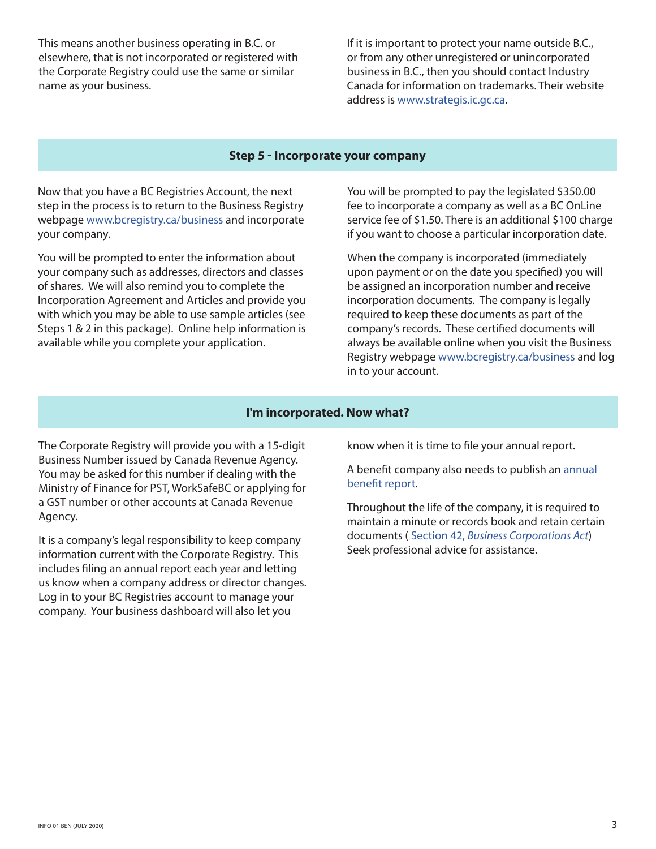This means another business operating in B.C. or elsewhere, that is not incorporated or registered with the Corporate Registry could use the same or similar name as your business.

If it is important to protect your name outside B.C., or from any other unregistered or unincorporated business in B.C., then you should contact Industry Canada for information on trademarks. Their website address is www.strategis.ic.gc.ca.

#### **Step 5 - Incorporate your company**

Now that you have a BC Registries Account, the next step in the process is to return to the Business Registry webpage www.bcregistry.ca/business and incorporate your company.

You will be prompted to enter the information about your company such as addresses, directors and classes of shares. We will also remind you to complete the Incorporation Agreement and Articles and provide you with which you may be able to use sample articles (see Steps 1 & 2 in this package). Online help information is available while you complete your application.

You will be prompted to pay the legislated \$350.00 fee to incorporate a company as well as a BC OnLine service fee of \$1.50. There is an additional \$100 charge if you want to choose a particular incorporation date.

When the company is incorporated (immediately upon payment or on the date you specified) you will be assigned an incorporation number and receive incorporation documents. The company is legally required to keep these documents as part of the company's records. These certified documents will always be available online when you visit the Business Registry webpage www.bcregistry.ca/business and log in to your account.

#### **I'm incorporated. Now what?**

The Corporate Registry will provide you with a 15-digit Business Number issued by Canada Revenue Agency. You may be asked for this number if dealing with the Ministry of Finance for PST, WorkSafeBC or applying for a GST number or other accounts at Canada Revenue Agency.

It is a company's legal responsibility to keep company information current with the Corporate Registry. This includes filing an annual report each year and letting us know when a company address or director changes. Log in to your BC Registries account to manage your company. Your business dashboard will also let you

know when it is time to file your annual report.

A benefit company also needs to publish an annual benefit report.

Throughout the life of the company, it is required to maintain a minute or records book and retain certain documents ( Section 42, *Business Corporations Act*) Seek professional advice for assistance.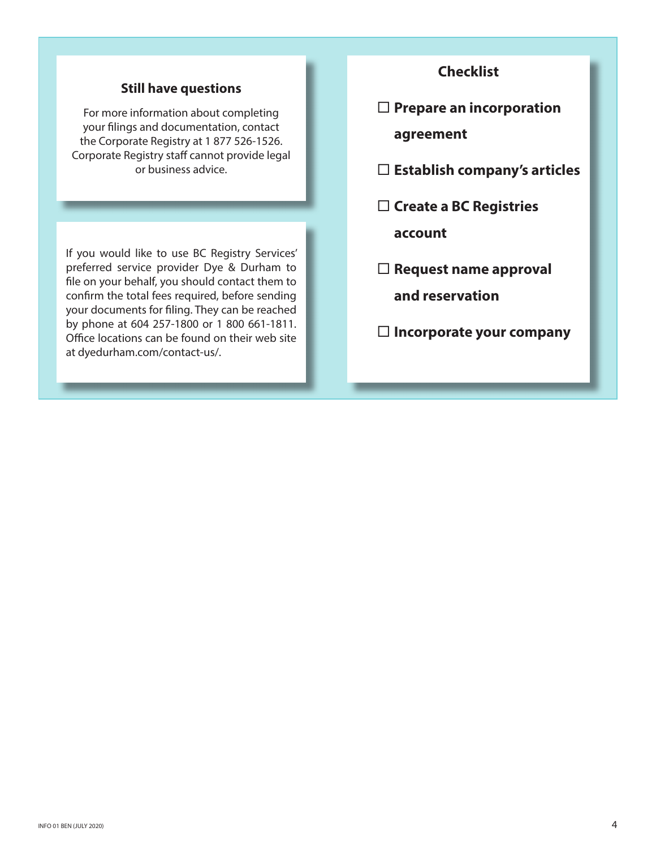# **Still have questions**

For more information about completing your filings and documentation, contact the Corporate Registry at 1 877 526-1526. Corporate Registry staff cannot provide legal or business advice.

If you would like to use BC Registry Services' preferred service provider Dye & Durham to file on your behalf, you should contact them to confirm the total fees required, before sending your documents for filing. They can be reached by phone at 604 257-1800 or 1 800 661-1811. Office locations can be found on their web site at dyedurham.com/contact-us/.

# **Checklist**

- **Prepare an incorporation agreement**
- **Establish company's articles**
- **Create a BC Registries account**
- **Request name approval and reservation**
- **Incorporate your company**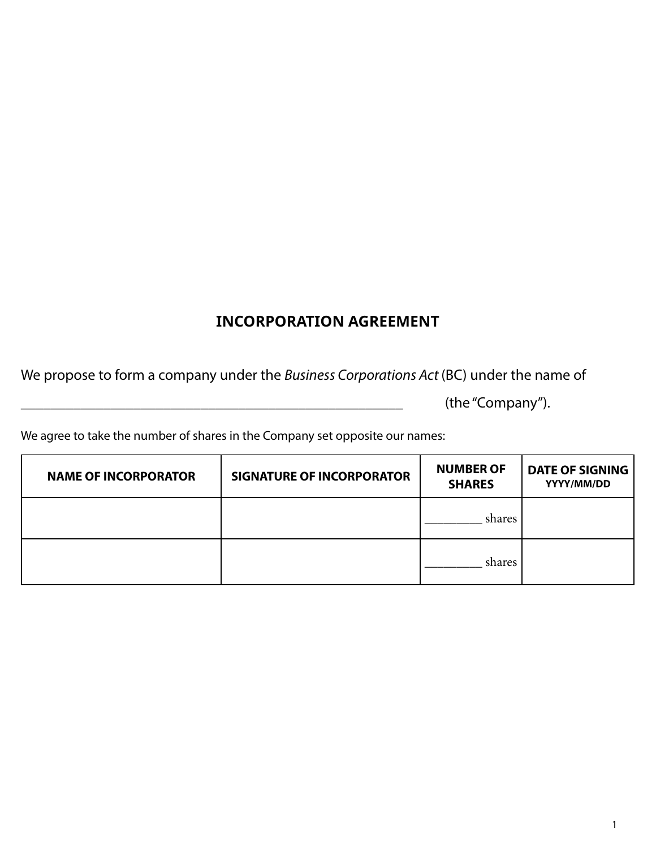# **INCORPORATION AGREEMENT**

We propose to form a company under the *Business Corporations Act* (BC) under the name of

(the "Company").

We agree to take the number of shares in the Company set opposite our names:

| <b>NAME OF INCORPORATOR</b> | <b>SIGNATURE OF INCORPORATOR</b> | <b>NUMBER OF</b><br><b>SHARES</b> | <b>DATE OF SIGNING</b><br>YYYY/MM/DD |
|-----------------------------|----------------------------------|-----------------------------------|--------------------------------------|
|                             |                                  | shares                            |                                      |
|                             |                                  | shares                            |                                      |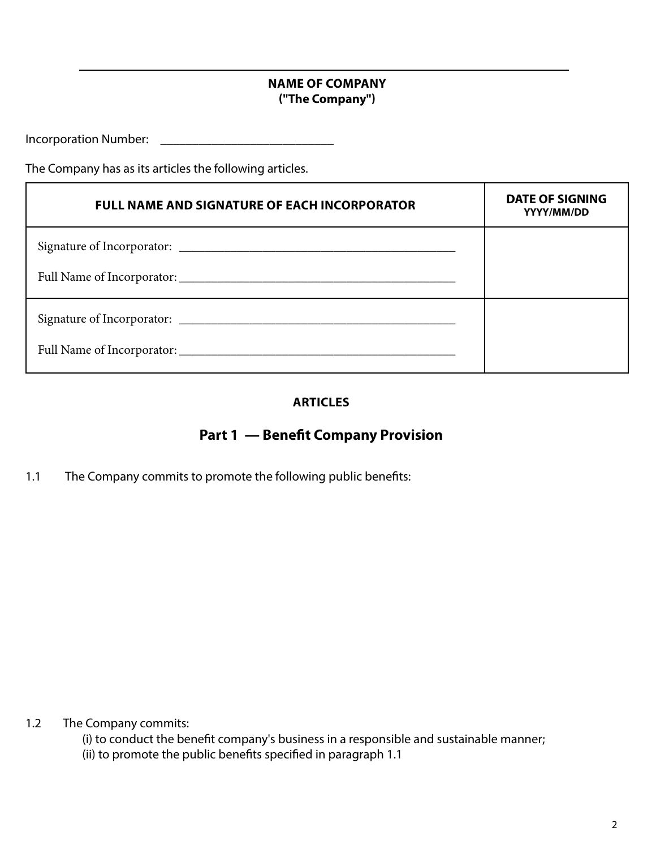# **NAME OF COMPANY ("The Company")**

Incorporation Number: \_\_\_\_\_\_\_\_\_\_\_\_\_\_\_\_\_\_\_\_\_\_\_\_\_\_\_

The Company has as its articles the following articles.

| <b>FULL NAME AND SIGNATURE OF EACH INCORPORATOR</b> | DATE OF SIGNING<br>YYYY/MM/DD |
|-----------------------------------------------------|-------------------------------|
|                                                     |                               |
|                                                     |                               |
|                                                     |                               |
|                                                     |                               |

# **ARTICLES**

# **Part 1 — Benefit Company Provision**

1.1 The Company commits to promote the following public benefits:

1.2 The Company commits:

(i) to conduct the benefit company's business in a responsible and sustainable manner;

(ii) to promote the public benefits specified in paragraph 1.1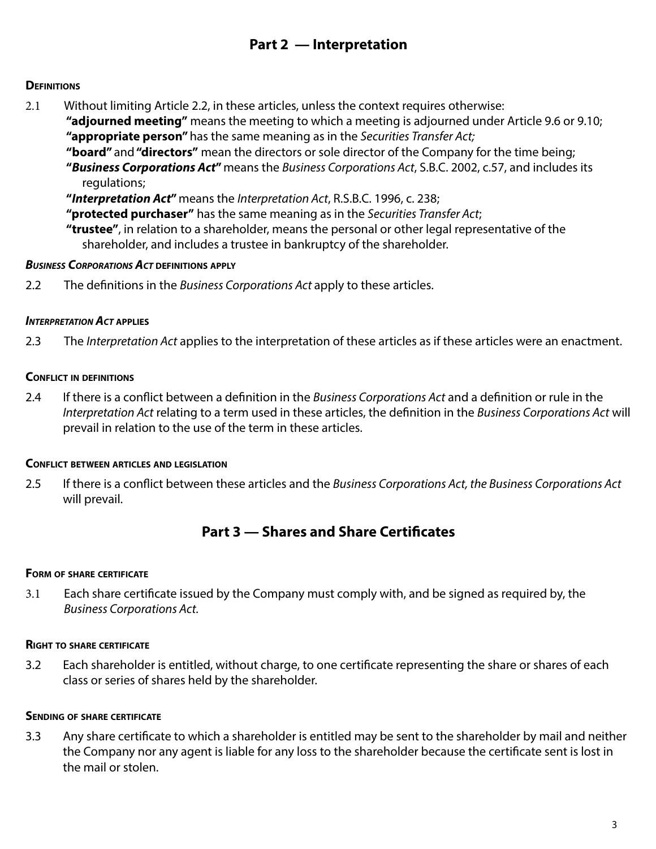# **Part 2 — Interpretation**

## **DEFINITIONS**

2.1 Without limiting Article 2.2, in these articles, unless the context requires otherwise: **"adjourned meeting"** means the meeting to which a meeting is adjourned under Article 9.6 or 9.10; **"appropriate person"** has the same meaning as in the *Securities Transfer Act;* **"board"** and **"directors"** mean the directors or sole director of the Company for the time being; **"***Business Corporations Act***"** means the *Business Corporations Act*, S.B.C. 2002, c.57, and includes its regulations;

**"***Interpretation Act***"** means the *Interpretation Act*, R.S.B.C. 1996, c. 238;

**"protected purchaser"** has the same meaning as in the *Securities Transfer Act*;

**"trustee"**, in relation to a shareholder, means the personal or other legal representative of the shareholder, and includes a trustee in bankruptcy of the shareholder.

#### *Business Corporations Act* **definitions apply**

2.2 The definitions in the *Business Corporations Act* apply to these articles.

#### *Interpretation Act* **applies**

2.3 The *Interpretation Act* applies to the interpretation of these articles as if these articles were an enactment.

#### **Conflict in definitions**

2.4 If there is a conflict between a definition in the *Business Corporations Act* and a definition or rule in the *Interpretation Act* relating to a term used in these articles, the definition in the *Business Corporations Act* will prevail in relation to the use of the term in these articles.

#### **Conflict between articles and legislation**

2.5 If there is a conflict between these articles and the *Business Corporations Act, the Business Corporations Act*  will prevail.

# **Part 3 — Shares and Share Certificates**

#### **Form of share certificate**

3.1 Each share certificate issued by the Company must comply with, and be signed as required by, the *Business Corporations Act.*

#### **Right to share certificate**

3.2 Each shareholder is entitled, without charge, to one certificate representing the share or shares of each class or series of shares held by the shareholder.

#### **Sending of share certificate**

3.3 Any share certificate to which a shareholder is entitled may be sent to the shareholder by mail and neither the Company nor any agent is liable for any loss to the shareholder because the certificate sent is lost in the mail or stolen.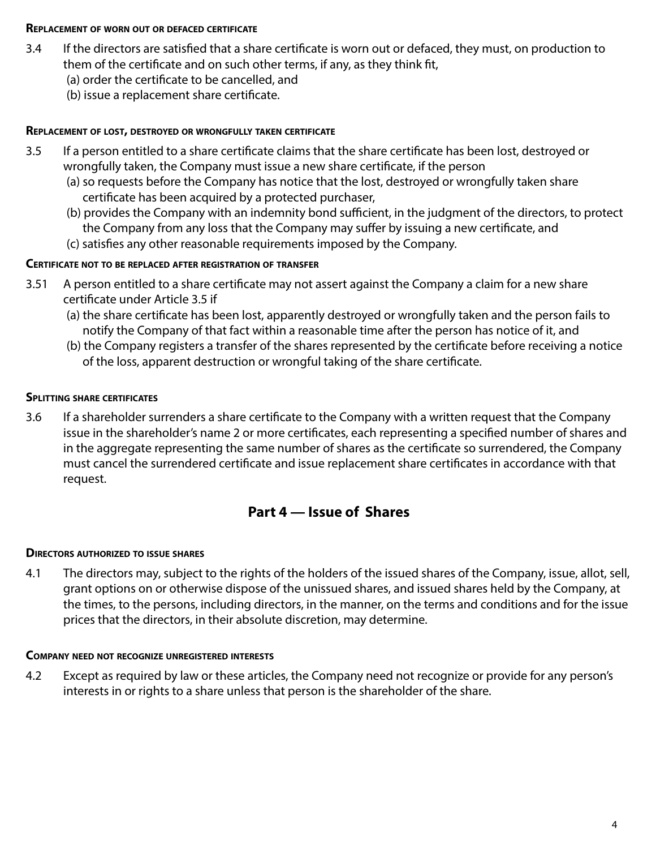#### **Replacement of worn out or defaced certificate**

- 3.4 If the directors are satisfied that a share certificate is worn out or defaced, they must, on production to them of the certificate and on such other terms, if any, as they think fit,
	- (a) order the certificate to be cancelled, and
	- (b) issue a replacement share certificate.

### **Replacement of lost, destroyed or wrongfully taken certificate**

- 3.5 If a person entitled to a share certificate claims that the share certificate has been lost, destroyed or wrongfully taken, the Company must issue a new share certificate, if the person
	- (a) so requests before the Company has notice that the lost, destroyed or wrongfully taken share certificate has been acquired by a protected purchaser,
	- (b) provides the Company with an indemnity bond sufficient, in the judgment of the directors, to protect the Company from any loss that the Company may suffer by issuing a new certificate, and
	- (c) satisfies any other reasonable requirements imposed by the Company.

# **Certificate not to be replaced after registration of transfer**

- 3.51 A person entitled to a share certificate may not assert against the Company a claim for a new share certificate under Article 3.5 if
	- (a) the share certificate has been lost, apparently destroyed or wrongfully taken and the person fails to notify the Company of that fact within a reasonable time after the person has notice of it, and
	- (b) the Company registers a transfer of the shares represented by the certificate before receiving a notice of the loss, apparent destruction or wrongful taking of the share certificate.

## **Splitting share certificates**

3.6 If a shareholder surrenders a share certificate to the Company with a written request that the Company issue in the shareholder's name 2 or more certificates, each representing a specified number of shares and in the aggregate representing the same number of shares as the certificate so surrendered, the Company must cancel the surrendered certificate and issue replacement share certificates in accordance with that request.

# **Part 4 — Issue of Shares**

#### **Directors authorized to issue shares**

4.1 The directors may, subject to the rights of the holders of the issued shares of the Company, issue, allot, sell, grant options on or otherwise dispose of the unissued shares, and issued shares held by the Company, at the times, to the persons, including directors, in the manner, on the terms and conditions and for the issue prices that the directors, in their absolute discretion, may determine.

#### **Company need not recognize unregistered interests**

4.2 Except as required by law or these articles, the Company need not recognize or provide for any person's interests in or rights to a share unless that person is the shareholder of the share.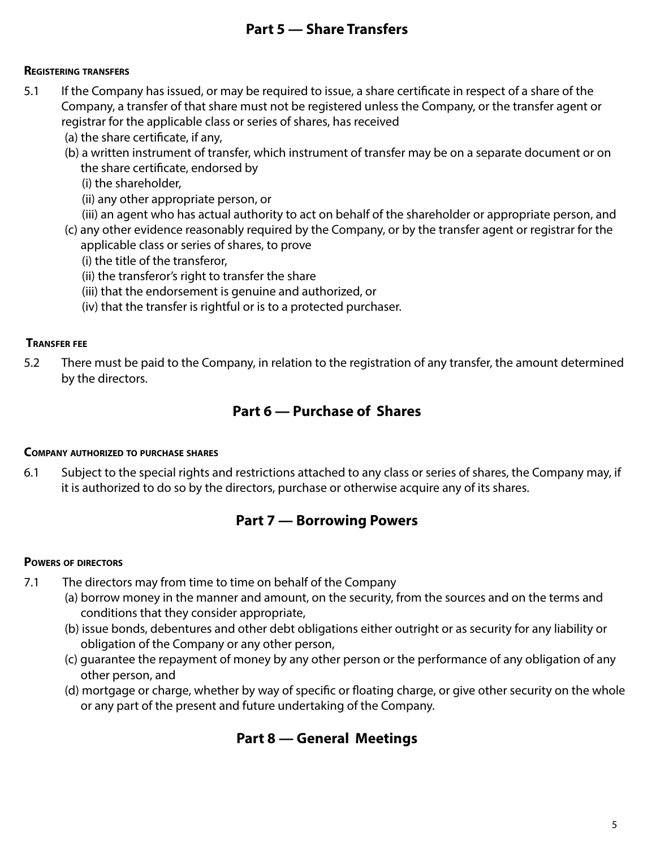# **Part 5 — Share Transfers**

## **Registering transfers**

- 5.1 If the Company has issued, or may be required to issue, a share certificate in respect of a share of the Company, a transfer of that share must not be registered unless the Company, or the transfer agent or registrar for the applicable class or series of shares, has received
	- (a) the share certificate, if any,
	- (b) a written instrument of transfer, which instrument of transfer may be on a separate document or on the share certificate, endorsed by
		- (i) the shareholder,
		- (ii) any other appropriate person, or
		- (iii) an agent who has actual authority to act on behalf of the shareholder or appropriate person, and
	- (c) any other evidence reasonably required by the Company, or by the transfer agent or registrar for the applicable class or series of shares, to prove
		- (i) the title of the transferor,
		- (ii) the transferor's right to transfer the share
		- (iii) that the endorsement is genuine and authorized, or
		- (iv) that the transfer is rightful or is to a protected purchaser.

## **Transfer fee**

5.2 There must be paid to the Company, in relation to the registration of any transfer, the amount determined by the directors.

# **Part 6 — Purchase of Shares**

#### **Company authorized to purchase shares**

6.1 Subject to the special rights and restrictions attached to any class or series of shares, the Company may, if it is authorized to do so by the directors, purchase or otherwise acquire any of its shares.

# **Part 7 — Borrowing Powers**

#### **Powers of directors**

- 7.1 The directors may from time to time on behalf of the Company
	- (a) borrow money in the manner and amount, on the security, from the sources and on the terms and conditions that they consider appropriate,
	- (b) issue bonds, debentures and other debt obligations either outright or as security for any liability or obligation of the Company or any other person,
	- (c) guarantee the repayment of money by any other person or the performance of any obligation of any other person, and
	- (d) mortgage or charge, whether by way of specific or floating charge, or give other security on the whole or any part of the present and future undertaking of the Company.

# **Part 8 — General Meetings**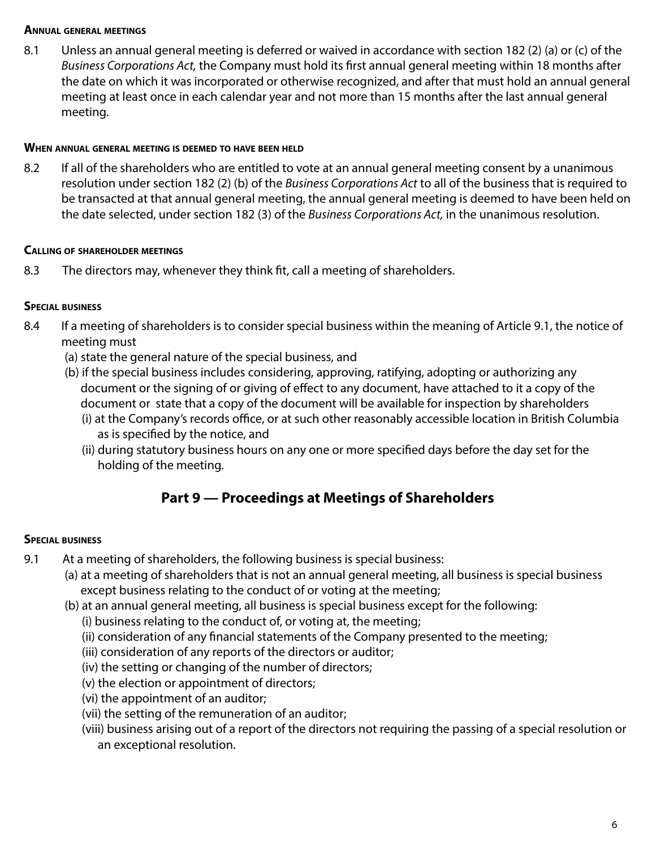### **Annual general meetings**

8.1 Unless an annual general meeting is deferred or waived in accordance with section 182 (2) (a) or (c) of the *Business Corporations Act,* the Company must hold its first annual general meeting within 18 months after the date on which it was incorporated or otherwise recognized, and after that must hold an annual general meeting at least once in each calendar year and not more than 15 months after the last annual general meeting.

## **When annual general meeting is deemed to have been held**

8.2 If all of the shareholders who are entitled to vote at an annual general meeting consent by a unanimous resolution under section 182 (2) (b) of the *Business Corporations Act* to all of the business that is required to be transacted at that annual general meeting, the annual general meeting is deemed to have been held on the date selected, under section 182 (3) of the *Business Corporations Act,* in the unanimous resolution.

## **Calling of shareholder meetings**

8.3 The directors may, whenever they think fit, call a meeting of shareholders.

# **Special business**

- 8.4 If a meeting of shareholders is to consider special business within the meaning of Article 9.1, the notice of meeting must
	- (a) state the general nature of the special business, and
	- (b) if the special business includes considering, approving, ratifying, adopting or authorizing any document or the signing of or giving of effect to any document, have attached to it a copy of the document or state that a copy of the document will be available for inspection by shareholders
		- (i) at the Company's records office, or at such other reasonably accessible location in British Columbia as is specified by the notice, and
		- (ii) during statutory business hours on any one or more specified days before the day set for the holding of the meeting.

# **Part 9 — Proceedings at Meetings of Shareholders**

# **Special business**

- 9.1 At a meeting of shareholders, the following business is special business:
	- (a) at a meeting of shareholders that is not an annual general meeting, all business is special business except business relating to the conduct of or voting at the meeting;
	- (b) at an annual general meeting, all business is special business except for the following:
		- (i) business relating to the conduct of, or voting at, the meeting;
		- (ii) consideration of any financial statements of the Company presented to the meeting;
		- (iii) consideration of any reports of the directors or auditor;
		- (iv) the setting or changing of the number of directors;
		- (v) the election or appointment of directors;
		- (vi) the appointment of an auditor;
		- (vii) the setting of the remuneration of an auditor;
		- (viii) business arising out of a report of the directors not requiring the passing of a special resolution or an exceptional resolution.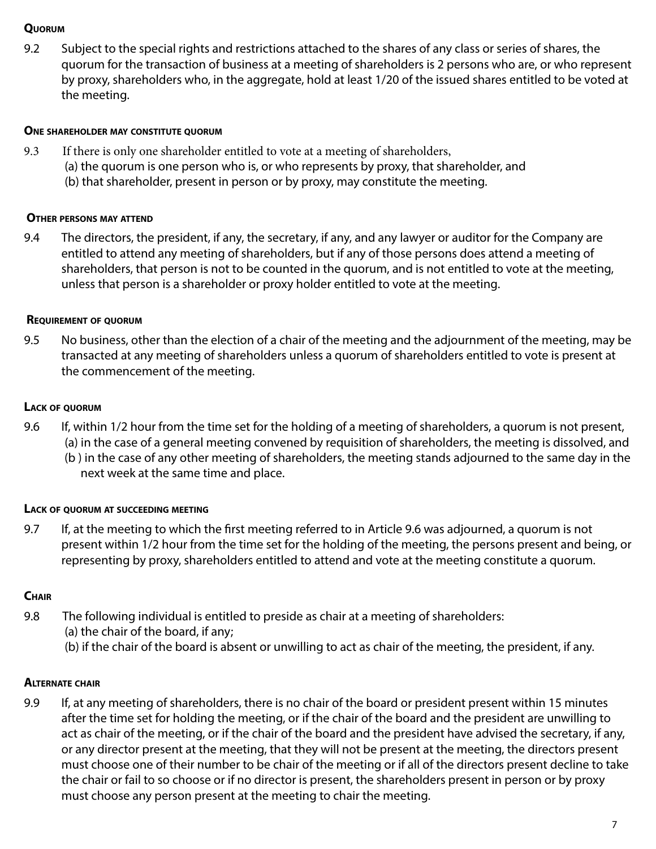## **Quorum**

9.2 Subject to the special rights and restrictions attached to the shares of any class or series of shares, the quorum for the transaction of business at a meeting of shareholders is 2 persons who are, or who represent by proxy, shareholders who, in the aggregate, hold at least 1/20 of the issued shares entitled to be voted at the meeting.

## **One shareholder may constitute quorum**

- 9.3 If there is only one shareholder entitled to vote at a meeting of shareholders,
	- (a) the quorum is one person who is, or who represents by proxy, that shareholder, and
	- (b) that shareholder, present in person or by proxy, may constitute the meeting.

## **Other persons may attend**

9.4 The directors, the president, if any, the secretary, if any, and any lawyer or auditor for the Company are entitled to attend any meeting of shareholders, but if any of those persons does attend a meeting of shareholders, that person is not to be counted in the quorum, and is not entitled to vote at the meeting, unless that person is a shareholder or proxy holder entitled to vote at the meeting.

## **Requirement of quorum**

9.5 No business, other than the election of a chair of the meeting and the adjournment of the meeting, may be transacted at any meeting of shareholders unless a quorum of shareholders entitled to vote is present at the commencement of the meeting.

## **Lack of quorum**

- 9.6 If, within 1/2 hour from the time set for the holding of a meeting of shareholders, a quorum is not present, (a) in the case of a general meeting convened by requisition of shareholders, the meeting is dissolved, and
	- (b ) in the case of any other meeting of shareholders, the meeting stands adjourned to the same day in the next week at the same time and place.

# **Lack of quorum at succeeding meeting**

9.7 If, at the meeting to which the first meeting referred to in Article 9.6 was adjourned, a quorum is not present within 1/2 hour from the time set for the holding of the meeting, the persons present and being, or representing by proxy, shareholders entitled to attend and vote at the meeting constitute a quorum.

# **Chair**

- 9.8 The following individual is entitled to preside as chair at a meeting of shareholders:
	- (a) the chair of the board, if any;
	- (b) if the chair of the board is absent or unwilling to act as chair of the meeting, the president, if any.

# **Alternate chair**

9.9 If, at any meeting of shareholders, there is no chair of the board or president present within 15 minutes after the time set for holding the meeting, or if the chair of the board and the president are unwilling to act as chair of the meeting, or if the chair of the board and the president have advised the secretary, if any, or any director present at the meeting, that they will not be present at the meeting, the directors present must choose one of their number to be chair of the meeting or if all of the directors present decline to take the chair or fail to so choose or if no director is present, the shareholders present in person or by proxy must choose any person present at the meeting to chair the meeting.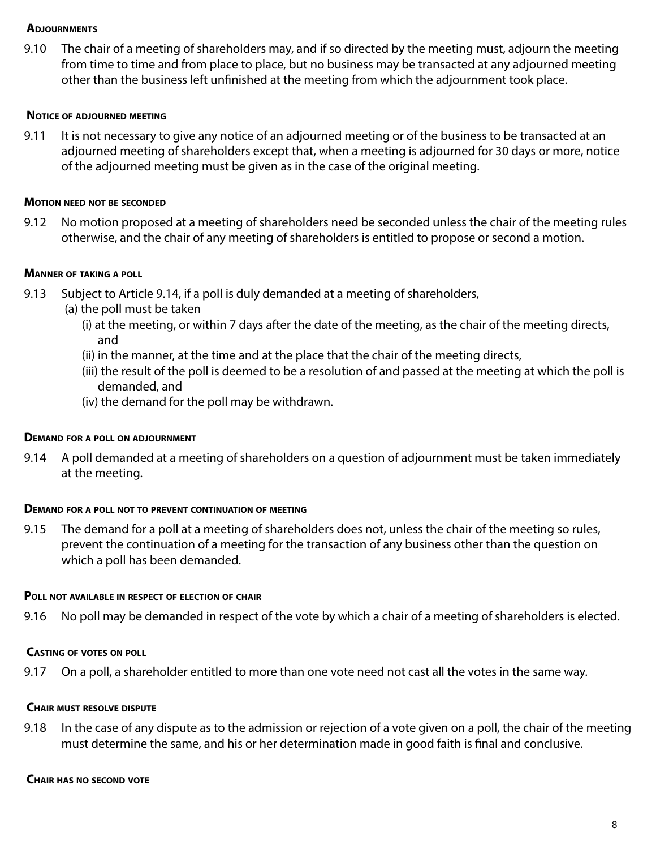#### **Adjournments**

9.10 The chair of a meeting of shareholders may, and if so directed by the meeting must, adjourn the meeting from time to time and from place to place, but no business may be transacted at any adjourned meeting other than the business left unfinished at the meeting from which the adjournment took place.

#### **Notice of adjourned meeting**

9.11 It is not necessary to give any notice of an adjourned meeting or of the business to be transacted at an adjourned meeting of shareholders except that, when a meeting is adjourned for 30 days or more, notice of the adjourned meeting must be given as in the case of the original meeting.

#### **Motion need not be seconded**

9.12 No motion proposed at a meeting of shareholders need be seconded unless the chair of the meeting rules otherwise, and the chair of any meeting of shareholders is entitled to propose or second a motion.

#### **Manner of taking <sup>a</sup> poll**

- 9.13 Subject to Article 9.14, if a poll is duly demanded at a meeting of shareholders,
	- (a) the poll must be taken
		- (i) at the meeting, or within 7 days after the date of the meeting, as the chair of the meeting directs, and
		- (ii) in the manner, at the time and at the place that the chair of the meeting directs,
		- (iii) the result of the poll is deemed to be a resolution of and passed at the meeting at which the poll is demanded, and
		- (iv) the demand for the poll may be withdrawn.

#### **Demand for <sup>a</sup> poll on adjournment**

9.14 A poll demanded at a meeting of shareholders on a question of adjournment must be taken immediately at the meeting.

#### **Demand for <sup>a</sup> poll not to prevent continuation of meeting**

9.15 The demand for a poll at a meeting of shareholders does not, unless the chair of the meeting so rules, prevent the continuation of a meeting for the transaction of any business other than the question on which a poll has been demanded.

#### **Poll not available in respect of election of chair**

9.16 No poll may be demanded in respect of the vote by which a chair of a meeting of shareholders is elected.

#### **Casting of votes on poll**

9.17 On a poll, a shareholder entitled to more than one vote need not cast all the votes in the same way.

#### **Chair must resolve dispute**

9.18 In the case of any dispute as to the admission or rejection of a vote given on a poll, the chair of the meeting must determine the same, and his or her determination made in good faith is final and conclusive.

#### **Chair has no second vote**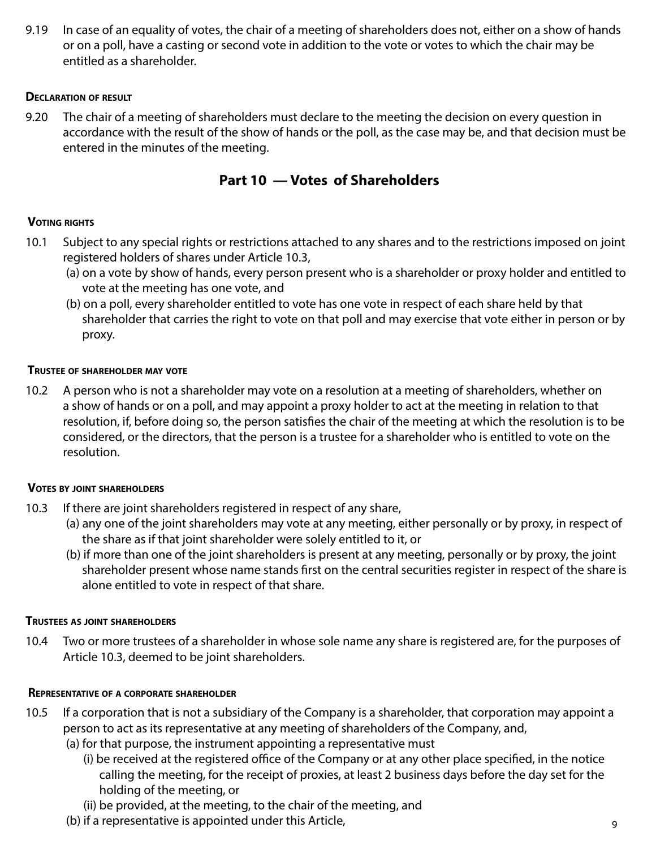9.19 In case of an equality of votes, the chair of a meeting of shareholders does not, either on a show of hands or on a poll, have a casting or second vote in addition to the vote or votes to which the chair may be entitled as a shareholder.

# **Declaration of result**

9.20 The chair of a meeting of shareholders must declare to the meeting the decision on every question in accordance with the result of the show of hands or the poll, as the case may be, and that decision must be entered in the minutes of the meeting.

# **Part 10 — Votes of Shareholders**

# **Voting rights**

- 10.1 Subject to any special rights or restrictions attached to any shares and to the restrictions imposed on joint registered holders of shares under Article 10.3,
	- (a) on a vote by show of hands, every person present who is a shareholder or proxy holder and entitled to vote at the meeting has one vote, and
	- (b) on a poll, every shareholder entitled to vote has one vote in respect of each share held by that shareholder that carries the right to vote on that poll and may exercise that vote either in person or by proxy.

## **Trustee of shareholder may vote**

10.2 A person who is not a shareholder may vote on a resolution at a meeting of shareholders, whether on a show of hands or on a poll, and may appoint a proxy holder to act at the meeting in relation to that resolution, if, before doing so, the person satisfies the chair of the meeting at which the resolution is to be considered, or the directors, that the person is a trustee for a shareholder who is entitled to vote on the resolution.

#### **Votes by joint shareholders**

- 10.3 If there are joint shareholders registered in respect of any share,
	- (a) any one of the joint shareholders may vote at any meeting, either personally or by proxy, in respect of the share as if that joint shareholder were solely entitled to it, or
	- (b) if more than one of the joint shareholders is present at any meeting, personally or by proxy, the joint shareholder present whose name stands first on the central securities register in respect of the share is alone entitled to vote in respect of that share.

# **Trustees as joint shareholders**

10.4 Two or more trustees of a shareholder in whose sole name any share is registered are, for the purposes of Article 10.3, deemed to be joint shareholders.

# **Representative of <sup>a</sup> corporate shareholder**

- 10.5 If a corporation that is not a subsidiary of the Company is a shareholder, that corporation may appoint a person to act as its representative at any meeting of shareholders of the Company, and,
	- (a) for that purpose, the instrument appointing a representative must
		- (i) be received at the registered office of the Company or at any other place specified, in the notice calling the meeting, for the receipt of proxies, at least 2 business days before the day set for the holding of the meeting, or
		- (ii) be provided, at the meeting, to the chair of the meeting, and
	- (b) if a representative is appointed under this Article,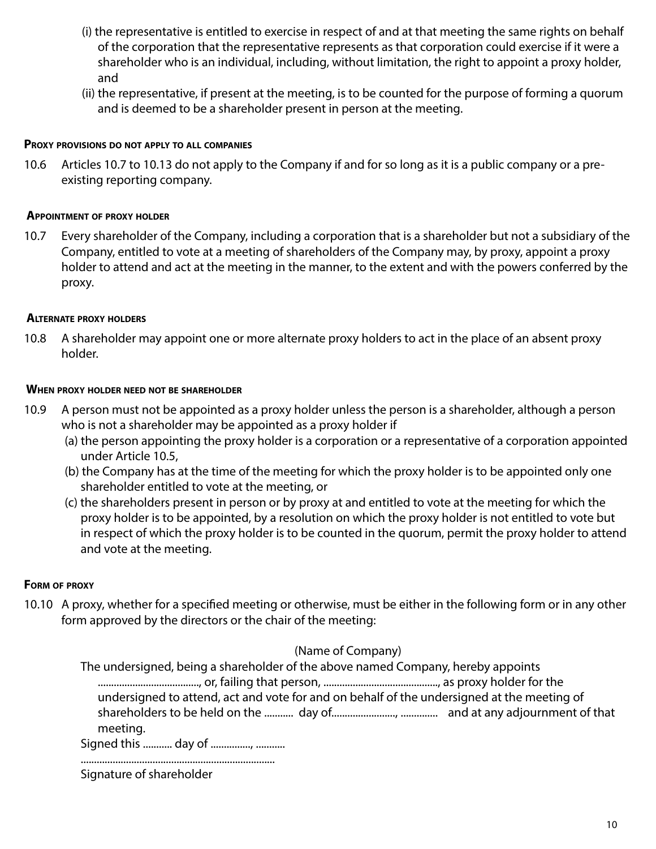- (i) the representative is entitled to exercise in respect of and at that meeting the same rights on behalf of the corporation that the representative represents as that corporation could exercise if it were a shareholder who is an individual, including, without limitation, the right to appoint a proxy holder, and
- (ii) the representative, if present at the meeting, is to be counted for the purpose of forming a quorum and is deemed to be a shareholder present in person at the meeting.

## **Proxy provisions do not apply to all companies**

10.6 Articles 10.7 to 10.13 do not apply to the Company if and for so long as it is a public company or a preexisting reporting company.

#### **Appointment of proxy holder**

10.7 Every shareholder of the Company, including a corporation that is a shareholder but not a subsidiary of the Company, entitled to vote at a meeting of shareholders of the Company may, by proxy, appoint a proxy holder to attend and act at the meeting in the manner, to the extent and with the powers conferred by the proxy.

## **Alternate proxy holders**

10.8 A shareholder may appoint one or more alternate proxy holders to act in the place of an absent proxy holder.

#### **When proxy holder need not be shareholder**

- 10.9 A person must not be appointed as a proxy holder unless the person is a shareholder, although a person who is not a shareholder may be appointed as a proxy holder if
	- (a) the person appointing the proxy holder is a corporation or a representative of a corporation appointed under Article 10.5,
	- (b) the Company has at the time of the meeting for which the proxy holder is to be appointed only one shareholder entitled to vote at the meeting, or
	- (c) the shareholders present in person or by proxy at and entitled to vote at the meeting for which the proxy holder is to be appointed, by a resolution on which the proxy holder is not entitled to vote but in respect of which the proxy holder is to be counted in the quorum, permit the proxy holder to attend and vote at the meeting.

#### **Form of proxy**

10.10 A proxy, whether for a specified meeting or otherwise, must be either in the following form or in any other form approved by the directors or the chair of the meeting:

### (Name of Company)

The undersigned, being a shareholder of the above named Company, hereby appoints ......................................, or, failing that person, ..........................................., as proxy holder for the undersigned to attend, act and vote for and on behalf of the undersigned at the meeting of shareholders to be held on the ........... day of........................, .............. and at any adjournment of that meeting.

Signed this ........... day of ................, ............

| Signature of shareholder |  |
|--------------------------|--|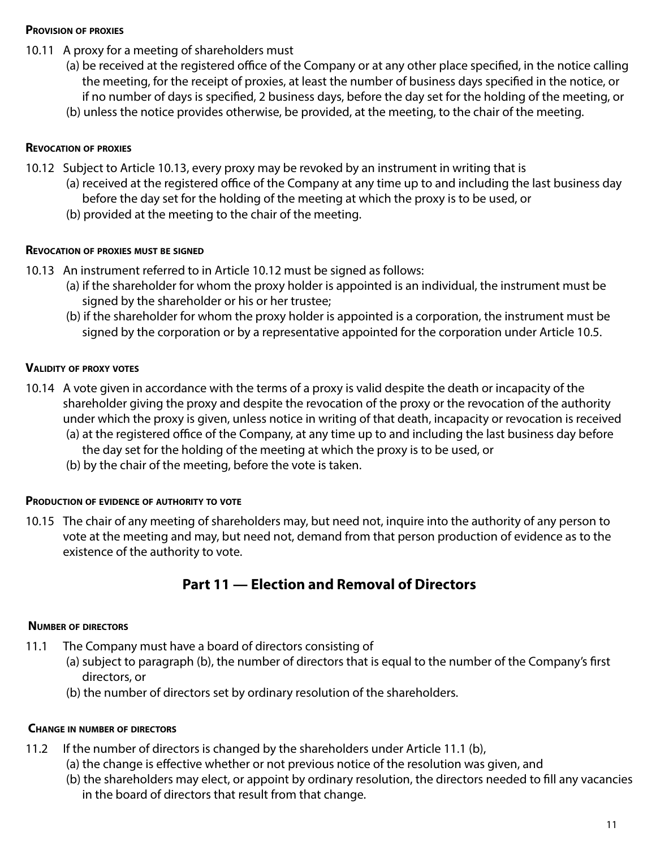## **Provision of proxies**

- 10.11 A proxy for a meeting of shareholders must
	- (a) be received at the registered office of the Company or at any other place specified, in the notice calling the meeting, for the receipt of proxies, at least the number of business days specified in the notice, or if no number of days is specified, 2 business days, before the day set for the holding of the meeting, or
	- (b) unless the notice provides otherwise, be provided, at the meeting, to the chair of the meeting.

### **Revocation of proxies**

- 10.12 Subject to Article 10.13, every proxy may be revoked by an instrument in writing that is
	- (a) received at the registered office of the Company at any time up to and including the last business day before the day set for the holding of the meeting at which the proxy is to be used, or
	- (b) provided at the meeting to the chair of the meeting.

#### **Revocation of proxies must be signed**

- 10.13 An instrument referred to in Article 10.12 must be signed as follows:
	- (a) if the shareholder for whom the proxy holder is appointed is an individual, the instrument must be signed by the shareholder or his or her trustee;
	- (b) if the shareholder for whom the proxy holder is appointed is a corporation, the instrument must be signed by the corporation or by a representative appointed for the corporation under Article 10.5.

## **Validity of proxy votes**

- 10.14 A vote given in accordance with the terms of a proxy is valid despite the death or incapacity of the shareholder giving the proxy and despite the revocation of the proxy or the revocation of the authority under which the proxy is given, unless notice in writing of that death, incapacity or revocation is received
	- (a) at the registered office of the Company, at any time up to and including the last business day before the day set for the holding of the meeting at which the proxy is to be used, or
	- (b) by the chair of the meeting, before the vote is taken.

#### **Production of evidence of authority to vote**

10.15 The chair of any meeting of shareholders may, but need not, inquire into the authority of any person to vote at the meeting and may, but need not, demand from that person production of evidence as to the existence of the authority to vote.

# **Part 11 — Election and Removal of Directors**

#### **Number of directors**

- 11.1 The Company must have a board of directors consisting of
	- (a) subject to paragraph (b), the number of directors that is equal to the number of the Company's first directors, or
	- (b) the number of directors set by ordinary resolution of the shareholders.

#### **Change in number of directors**

- 11.2 If the number of directors is changed by the shareholders under Article 11.1 (b),
	- (a) the change is effective whether or not previous notice of the resolution was given, and
	- (b) the shareholders may elect, or appoint by ordinary resolution, the directors needed to fill any vacancies in the board of directors that result from that change.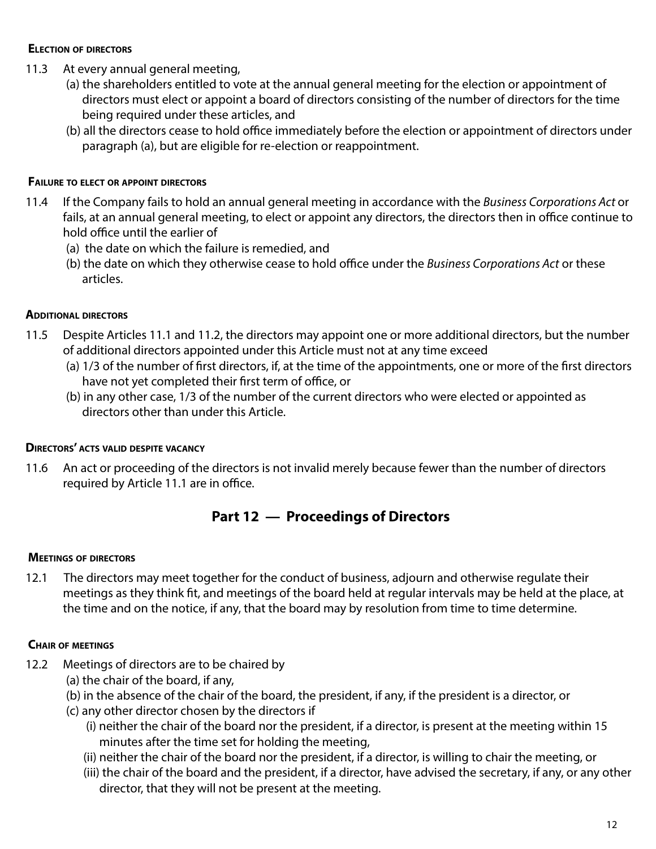## **Election of directors**

- 11.3 At every annual general meeting,
	- (a) the shareholders entitled to vote at the annual general meeting for the election or appointment of directors must elect or appoint a board of directors consisting of the number of directors for the time being required under these articles, and
	- (b) all the directors cease to hold office immediately before the election or appointment of directors under paragraph (a), but are eligible for re-election or reappointment.

# **Failure to elect or appoint directors**

- 11.4 If the Company fails to hold an annual general meeting in accordance with the *Business Corporations Act* or fails, at an annual general meeting, to elect or appoint any directors, the directors then in office continue to hold office until the earlier of
	- (a) the date on which the failure is remedied, and
	- (b) the date on which they otherwise cease to hold office under the *Business Corporations Act* or these articles.

# **Additional directors**

- 11.5 Despite Articles 11.1 and 11.2, the directors may appoint one or more additional directors, but the number of additional directors appointed under this Article must not at any time exceed
	- (a) 1/3 of the number of first directors, if, at the time of the appointments, one or more of the first directors have not yet completed their first term of office, or
	- (b) in any other case, 1/3 of the number of the current directors who were elected or appointed as directors other than under this Article.

# **Directors' acts valid despite vacancy**

11.6 An act or proceeding of the directors is not invalid merely because fewer than the number of directors required by Article 11.1 are in office.

# **Part 12 — Proceedings of Directors**

# **Meetings of directors**

12.1 The directors may meet together for the conduct of business, adjourn and otherwise regulate their meetings as they think fit, and meetings of the board held at regular intervals may be held at the place, at the time and on the notice, if any, that the board may by resolution from time to time determine.

# **Chair of meetings**

- 12.2 Meetings of directors are to be chaired by
	- (a) the chair of the board, if any,
	- (b) in the absence of the chair of the board, the president, if any, if the president is a director, or
	- (c) any other director chosen by the directors if
		- (i) neither the chair of the board nor the president, if a director, is present at the meeting within 15 minutes after the time set for holding the meeting,
		- (ii) neither the chair of the board nor the president, if a director, is willing to chair the meeting, or
		- (iii) the chair of the board and the president, if a director, have advised the secretary, if any, or any other director, that they will not be present at the meeting.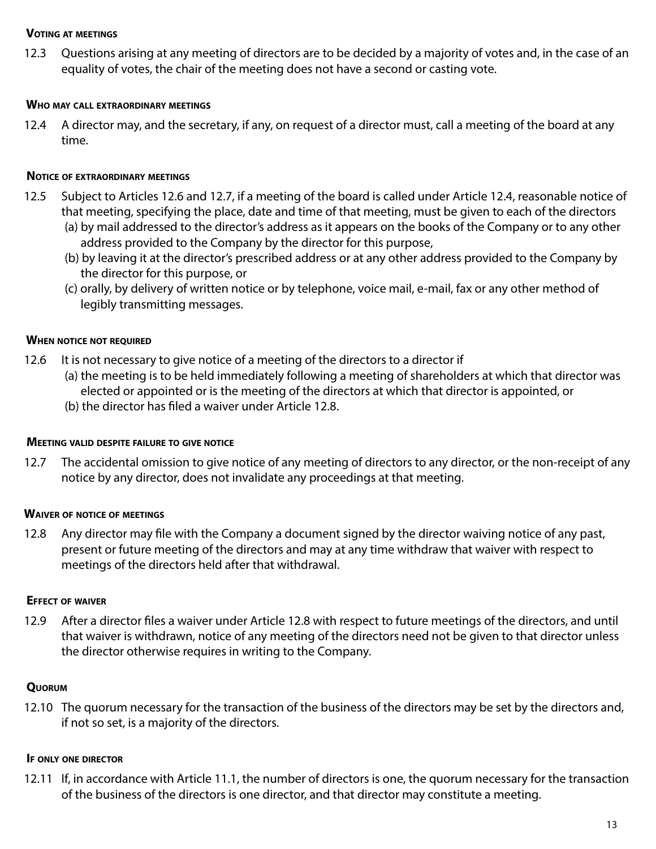#### **Voting at meetings**

12.3 Questions arising at any meeting of directors are to be decided by a majority of votes and, in the case of an equality of votes, the chair of the meeting does not have a second or casting vote.

### **Who may call extraordinary meetings**

12.4 A director may, and the secretary, if any, on request of a director must, call a meeting of the board at any time.

## **Notice of extraordinary meetings**

- 12.5 Subject to Articles 12.6 and 12.7, if a meeting of the board is called under Article 12.4, reasonable notice of that meeting, specifying the place, date and time of that meeting, must be given to each of the directors (a) by mail addressed to the director's address as it appears on the books of the Company or to any other
	- address provided to the Company by the director for this purpose,
	- (b) by leaving it at the director's prescribed address or at any other address provided to the Company by the director for this purpose, or
	- (c) orally, by delivery of written notice or by telephone, voice mail, e-mail, fax or any other method of legibly transmitting messages.

## **When notice not required**

- 12.6 It is not necessary to give notice of a meeting of the directors to a director if
	- (a) the meeting is to be held immediately following a meeting of shareholders at which that director was elected or appointed or is the meeting of the directors at which that director is appointed, or
	- (b) the director has filed a waiver under Article 12.8.

#### **Meeting valid despite failure to give notice**

12.7 The accidental omission to give notice of any meeting of directors to any director, or the non-receipt of any notice by any director, does not invalidate any proceedings at that meeting.

# **Waiver of notice of meetings**

12.8 Any director may file with the Company a document signed by the director waiving notice of any past, present or future meeting of the directors and may at any time withdraw that waiver with respect to meetings of the directors held after that withdrawal.

#### **Effect of waiver**

12.9 After a director files a waiver under Article 12.8 with respect to future meetings of the directors, and until that waiver is withdrawn, notice of any meeting of the directors need not be given to that director unless the director otherwise requires in writing to the Company.

# **Quorum**

12.10 The quorum necessary for the transaction of the business of the directors may be set by the directors and, if not so set, is a majority of the directors.

#### **If only one director**

12.11 If, in accordance with Article 11.1, the number of directors is one, the quorum necessary for the transaction of the business of the directors is one director, and that director may constitute a meeting.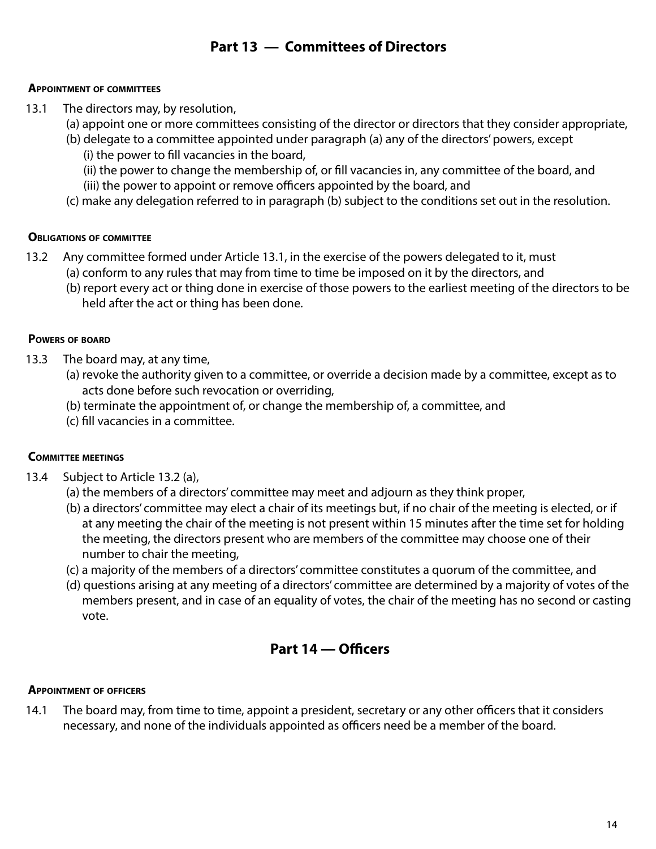# **Part 13 — Committees of Directors**

## **Appointment of committees**

- 13.1 The directors may, by resolution,
	- (a) appoint one or more committees consisting of the director or directors that they consider appropriate,
	- (b) delegate to a committee appointed under paragraph (a) any of the directors' powers, except (i) the power to fill vacancies in the board,
		- (ii) the power to change the membership of, or fill vacancies in, any committee of the board, and (iii) the power to appoint or remove officers appointed by the board, and
	- (c) make any delegation referred to in paragraph (b) subject to the conditions set out in the resolution.

# **Obligations of committee**

- 13.2 Any committee formed under Article 13.1, in the exercise of the powers delegated to it, must (a) conform to any rules that may from time to time be imposed on it by the directors, and
	- (b) report every act or thing done in exercise of those powers to the earliest meeting of the directors to be held after the act or thing has been done.

# **Powers of board**

- 13.3 The board may, at any time,
	- (a) revoke the authority given to a committee, or override a decision made by a committee, except as to acts done before such revocation or overriding,
	- (b) terminate the appointment of, or change the membership of, a committee, and
	- (c) fill vacancies in a committee.

# **Committee meetings**

- 13.4 Subject to Article 13.2 (a),
	- (a) the members of a directors' committee may meet and adjourn as they think proper,
	- (b) a directors' committee may elect a chair of its meetings but, if no chair of the meeting is elected, or if at any meeting the chair of the meeting is not present within 15 minutes after the time set for holding the meeting, the directors present who are members of the committee may choose one of their number to chair the meeting,
	- (c) a majority of the members of a directors' committee constitutes a quorum of the committee, and
	- (d) questions arising at any meeting of a directors' committee are determined by a majority of votes of the members present, and in case of an equality of votes, the chair of the meeting has no second or casting vote.

# **Part 14 — Officers**

# **Appointment of officers**

14.1 The board may, from time to time, appoint a president, secretary or any other officers that it considers necessary, and none of the individuals appointed as officers need be a member of the board.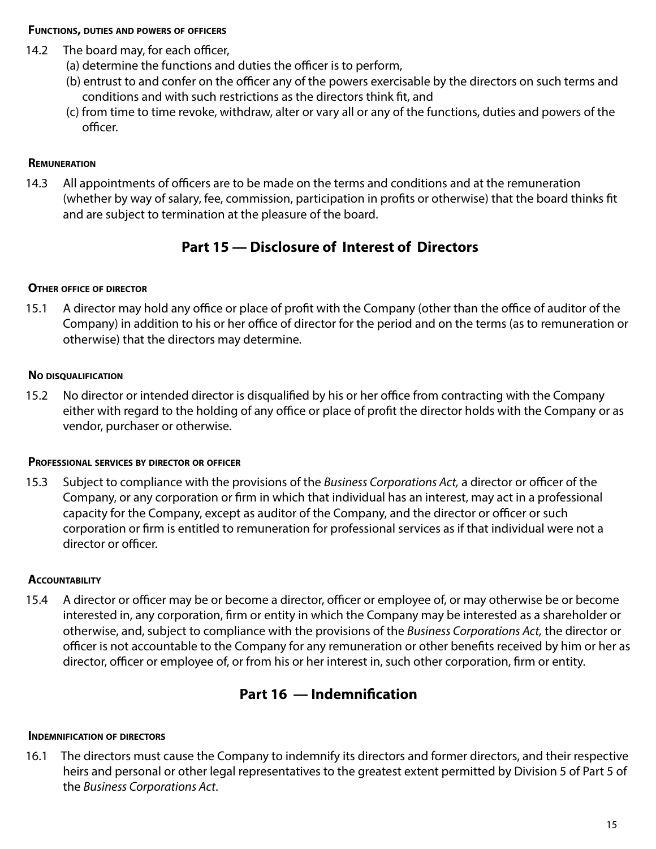#### **Functions, duties and powers of officers**

- 14.2 The board may, for each officer,
	- (a) determine the functions and duties the officer is to perform,
	- (b) entrust to and confer on the officer any of the powers exercisable by the directors on such terms and conditions and with such restrictions as the directors think fit, and
	- (c) from time to time revoke, withdraw, alter or vary all or any of the functions, duties and powers of the officer.

# **Remuneration**

14.3 All appointments of officers are to be made on the terms and conditions and at the remuneration (whether by way of salary, fee, commission, participation in profits or otherwise) that the board thinks fit and are subject to termination at the pleasure of the board.

# **Part 15 — Disclosure of Interest of Directors**

# **Other office of director**

15.1 A director may hold any office or place of profit with the Company (other than the office of auditor of the Company) in addition to his or her office of director for the period and on the terms (as to remuneration or otherwise) that the directors may determine.

# **No disqualification**

15.2 No director or intended director is disqualified by his or her office from contracting with the Company either with regard to the holding of any office or place of profit the director holds with the Company or as vendor, purchaser or otherwise.

# **Professional services by director or officer**

15.3 Subject to compliance with the provisions of the *Business Corporations Act,* a director or officer of the Company, or any corporation or firm in which that individual has an interest, may act in a professional capacity for the Company, except as auditor of the Company, and the director or officer or such corporation or firm is entitled to remuneration for professional services as if that individual were not a director or officer.

# **ACCOUNTABILITY**

15.4 A director or officer may be or become a director, officer or employee of, or may otherwise be or become interested in, any corporation, firm or entity in which the Company may be interested as a shareholder or otherwise, and, subject to compliance with the provisions of the *Business Corporations Act,* the director or officer is not accountable to the Company for any remuneration or other benefits received by him or her as director, officer or employee of, or from his or her interest in, such other corporation, firm or entity.

# **Part 16 — Indemnification**

# **Indemnification of directors**

16.1 The directors must cause the Company to indemnify its directors and former directors, and their respective heirs and personal or other legal representatives to the greatest extent permitted by Division 5 of Part 5 of the *Business Corporations Act*.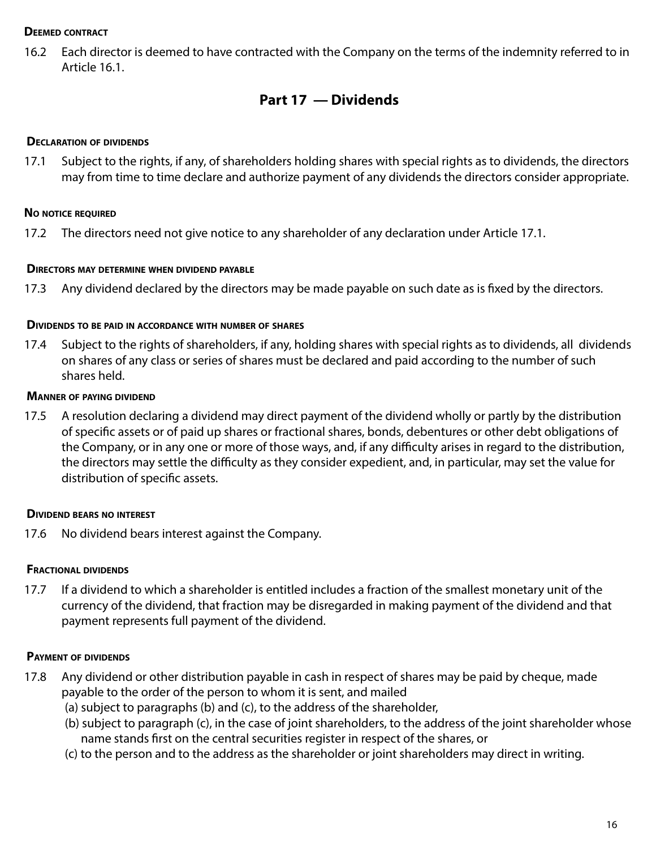## **Deemed contract**

16.2 Each director is deemed to have contracted with the Company on the terms of the indemnity referred to in Article 16.1.

# **Part 17 — Dividends**

### **Declaration of dividends**

17.1 Subject to the rights, if any, of shareholders holding shares with special rights as to dividends, the directors may from time to time declare and authorize payment of any dividends the directors consider appropriate.

## **No notice required**

17.2 The directors need not give notice to any shareholder of any declaration under Article 17.1.

#### **Directors may determine when dividend payable**

17.3 Any dividend declared by the directors may be made payable on such date as is fixed by the directors.

#### **Dividends to be paid in accordance with number of shares**

17.4 Subject to the rights of shareholders, if any, holding shares with special rights as to dividends, all dividends on shares of any class or series of shares must be declared and paid according to the number of such shares held.

#### **Manner of paying dividend**

17.5 A resolution declaring a dividend may direct payment of the dividend wholly or partly by the distribution of specific assets or of paid up shares or fractional shares, bonds, debentures or other debt obligations of the Company, or in any one or more of those ways, and, if any difficulty arises in regard to the distribution, the directors may settle the difficulty as they consider expedient, and, in particular, may set the value for distribution of specific assets.

#### **Dividend bears no interest**

17.6 No dividend bears interest against the Company.

#### **Fractional dividends**

17.7 If a dividend to which a shareholder is entitled includes a fraction of the smallest monetary unit of the currency of the dividend, that fraction may be disregarded in making payment of the dividend and that payment represents full payment of the dividend.

#### **Payment of dividends**

- 17.8 Any dividend or other distribution payable in cash in respect of shares may be paid by cheque, made payable to the order of the person to whom it is sent, and mailed
	- (a) subject to paragraphs (b) and (c), to the address of the shareholder,
	- (b) subject to paragraph (c), in the case of joint shareholders, to the address of the joint shareholder whose name stands first on the central securities register in respect of the shares, or
	- (c) to the person and to the address as the shareholder or joint shareholders may direct in writing.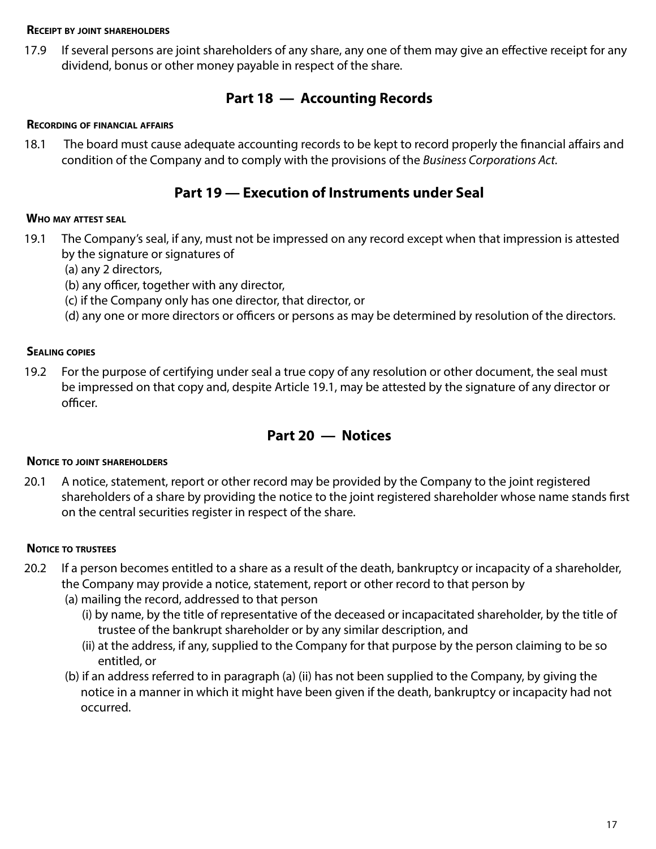#### **Receipt by joint shareholders**

17.9 If several persons are joint shareholders of any share, any one of them may give an effective receipt for any dividend, bonus or other money payable in respect of the share.

# **Part 18 — Accounting Records**

#### **Recording of financial affairs**

18.1 The board must cause adequate accounting records to be kept to record properly the financial affairs and condition of the Company and to comply with the provisions of the *Business Corporations Act.*

# **Part 19 — Execution of Instruments under Seal**

#### **Who may attest seal**

- 19.1 The Company's seal, if any, must not be impressed on any record except when that impression is attested by the signature or signatures of
	- (a) any 2 directors,
	- (b) any officer, together with any director,
	- (c) if the Company only has one director, that director, or
	- (d) any one or more directors or officers or persons as may be determined by resolution of the directors.

#### **Sealing copies**

19.2 For the purpose of certifying under seal a true copy of any resolution or other document, the seal must be impressed on that copy and, despite Article 19.1, may be attested by the signature of any director or officer.

# **Part 20 — Notices**

#### **Notice to joint shareholders**

20.1 A notice, statement, report or other record may be provided by the Company to the joint registered shareholders of a share by providing the notice to the joint registered shareholder whose name stands first on the central securities register in respect of the share.

#### **Notice to trustees**

- 20.2 If a person becomes entitled to a share as a result of the death, bankruptcy or incapacity of a shareholder, the Company may provide a notice, statement, report or other record to that person by
	- (a) mailing the record, addressed to that person
		- (i) by name, by the title of representative of the deceased or incapacitated shareholder, by the title of trustee of the bankrupt shareholder or by any similar description, and
		- (ii) at the address, if any, supplied to the Company for that purpose by the person claiming to be so entitled, or
	- (b) if an address referred to in paragraph (a) (ii) has not been supplied to the Company, by giving the notice in a manner in which it might have been given if the death, bankruptcy or incapacity had not occurred.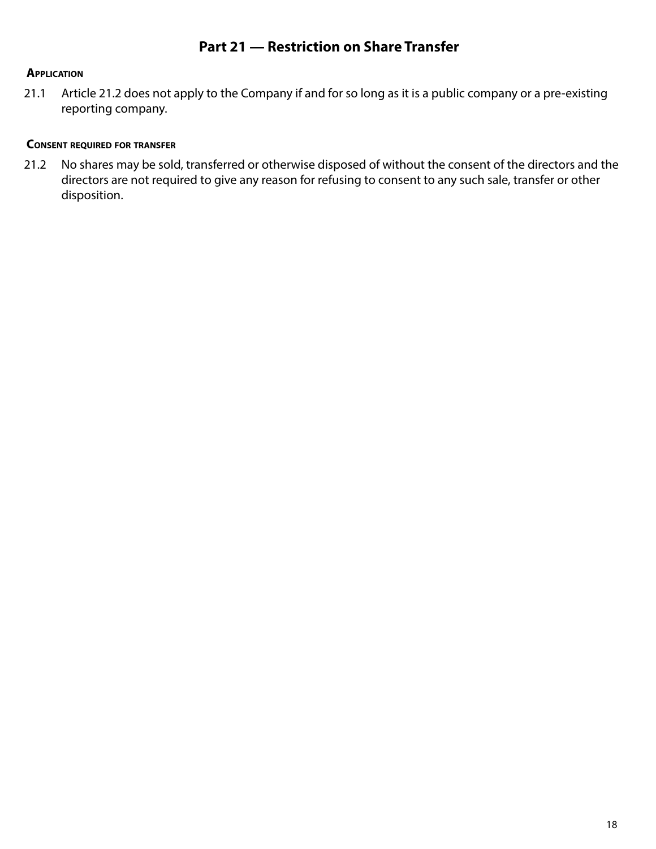# **Application**

21.1 Article 21.2 does not apply to the Company if and for so long as it is a public company or a pre-existing reporting company.

# **Consent required for transfer**

21.2 No shares may be sold, transferred or otherwise disposed of without the consent of the directors and the directors are not required to give any reason for refusing to consent to any such sale, transfer or other disposition.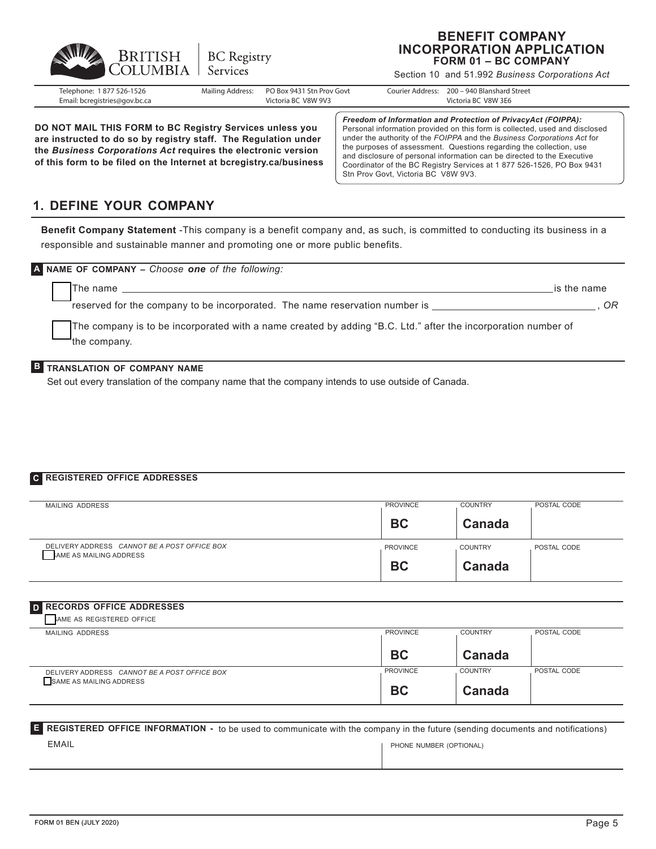

#### **BENEFIT COMPANY INCORPORATION APPLICATION FORM 01 – BC COMPANY**

Section 10 and 51.992 *Business Corporations Act*

| Telephone:<br>1 877 526-1526<br>Email: bcregistries@gov.bc.ca | Mailing Address: | PO Box 9431 Stn Prov Govt<br>Victoria BC V8W 9V3 | Courier Address: | 200 - 940 Blanshard Street<br>Victoria BC V8W 3E6 |
|---------------------------------------------------------------|------------------|--------------------------------------------------|------------------|---------------------------------------------------|
|                                                               |                  |                                                  |                  |                                                   |
|                                                               |                  |                                                  |                  |                                                   |

**DO NOT MAIL THIS FORM to BC Registry Services unless you are instructed to do so by registry staff. The Regulation under the** *Business Corporations Act* **requires the electronic version of this form to be filed on the Internet at bcregistry.ca/business**

*Freedom of Information and Protection of PrivacyAct (FOIPPA):* Personal information provided on this form is collected, used and disclosed under the authority of the *FOIPPA* and the *Business Corporations Act* for the purposes of assessment. Questions regarding the collection, use and disclosure of personal information can be directed to the Executive Coordinator of the BC Registry Services at 1 877 526-1526, PO Box 9431 Stn Prov Govt, Victoria BC V8W 9V3.

# **1. DEFINE YOUR COMPANY**

**Benefit Company Statement** -This company is a benefit company and, as such, is committed to conducting its business in a responsible and sustainable manner and promoting one or more public benefits.

| A NAME OF COMPANY - Choose one of the following:                                                                              |             |
|-------------------------------------------------------------------------------------------------------------------------------|-------------|
| The name                                                                                                                      | is the name |
| reserved for the company to be incorporated. The name reservation number is                                                   | OR          |
| The company is to be incorporated with a name created by adding "B.C. Ltd." after the incorporation number of<br>the company. |             |

#### **B TRANSLATION OF COMPANY NAME**

Set out every translation of the company name that the company intends to use outside of Canada.

#### **C REGISTERED OFFICE ADDRESSES**

| MAILING ADDRESS                                                        | <b>PROVINCE</b> | <b>COUNTRY</b> | POSTAL CODE |
|------------------------------------------------------------------------|-----------------|----------------|-------------|
|                                                                        | <b>BC</b>       | Canada         |             |
| DELIVERY ADDRESS CANNOT BE A POST OFFICE BOX<br>AME AS MAILING ADDRESS | <b>PROVINCE</b> | <b>COUNTRY</b> | POSTAL CODE |
|                                                                        | <b>BC</b>       | Canada         |             |

#### **D RECORDS OFFICE ADDRESSES**

| AME AS REGISTERED OFFICE                                                |                 |                |             |
|-------------------------------------------------------------------------|-----------------|----------------|-------------|
| MAILING ADDRESS                                                         | <b>PROVINCE</b> | <b>COUNTRY</b> | POSTAL CODE |
|                                                                         | <b>BC</b>       | Canada         |             |
| DELIVERY ADDRESS CANNOT BE A POST OFFICE BOX<br>SAME AS MAILING ADDRESS | <b>PROVINCE</b> | <b>COUNTRY</b> | POSTAL CODE |
|                                                                         | <b>BC</b>       | Canada         |             |

#### EMAIL **E REGISTERED OFFICE INFORMATION -**  to be used to communicate with the company in the future (sending documents and notifications) PHONE NUMBER (OPTIONAL)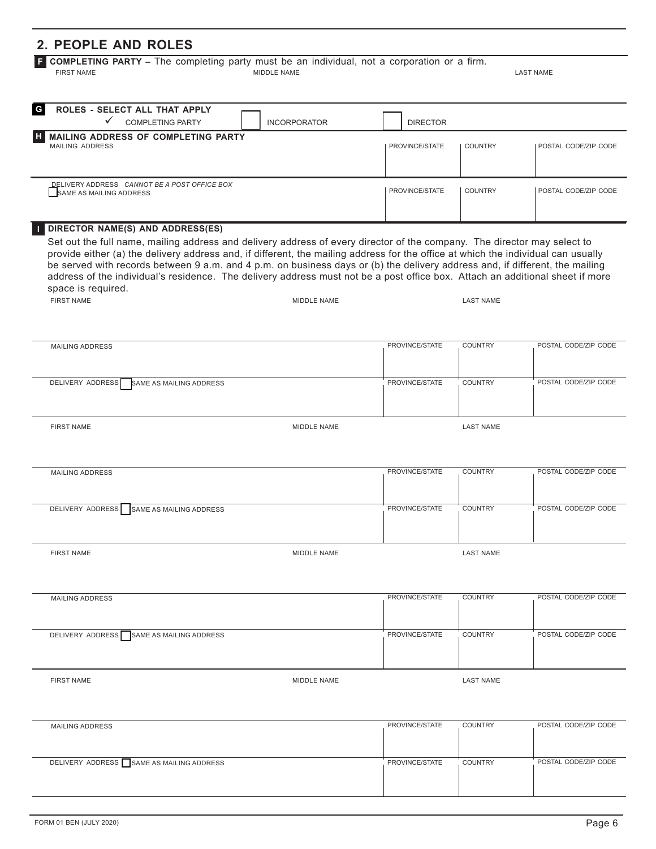# **2. PEOPLE AND ROLES**

**F COMPLETING PARTY –** The completing party must be an individual, not a corporation or a firm.<br>
MIDDLE NAME MIDDLE NAME LAST NAME

FIRST NAME MIDDLE NAME

| G<br>ROLES - SELECT ALL THAT APPLY<br><b>COMPLETING PARTY</b><br><b>INCORPORATOR</b>                                                                                                                                                                                                                       | <b>DIRECTOR</b>                                          |
|------------------------------------------------------------------------------------------------------------------------------------------------------------------------------------------------------------------------------------------------------------------------------------------------------------|----------------------------------------------------------|
| <b>MAILING ADDRESS OF COMPLETING PARTY</b><br><b>MAILING ADDRESS</b>                                                                                                                                                                                                                                       | PROVINCE/STATE<br>POSTAL CODE/ZIP CODE<br><b>COUNTRY</b> |
| DELIVERY ADDRESS CANNOT BE A POST OFFICE BOX<br>SAME AS MAILING ADDRESS                                                                                                                                                                                                                                    | PROVINCE/STATE<br>POSTAL CODE/ZIP CODE<br>COUNTRY        |
| <b>TEDIRECTOR NAME(S) AND ADDRESS(ES)</b><br>Set out the full name, mailing address and delivery address of every director of the company. The director may select to<br>provide either (a) the delivery address and, if different, the mailing address for the office at which the individual can usually |                                                          |

provide either (a) the delivery address and, if different, the mailing address for the office at which the individual can usually be served with records between 9 a.m. and 4 p.m. on business days or (b) the delivery address and, if different, the mailing address of the individual's residence. The delivery address must not be a post office box. Attach an additional sheet if more space is required. LAST NAME MIDDLE NAME

| <b>FIRST NAME</b> |  |
|-------------------|--|
|                   |  |

| MAILING ADDRESS                          | PROVINCE/STATE | <b>COUNTRY</b> | POSTAL CODE/ZIP CODE |
|------------------------------------------|----------------|----------------|----------------------|
| DELIVERY ADDRESS SAME AS MAILING ADDRESS | PROVINCE/STATE | <b>COUNTRY</b> | POSTAL CODE/ZIP CODE |

LAST NAME

| DELIVERY ADDRESS SAME AS MAILING ADDRESS |             | PROVINCE/STATE | <b>COUNTRY</b>   | POSTAL CODE/ZIP CODE |
|------------------------------------------|-------------|----------------|------------------|----------------------|
| <b>FIRST NAME</b>                        | MIDDLE NAME |                | <b>LAST NAME</b> |                      |

| <b>MAILING ADDRESS</b>                   |             | PROVINCE/STATE | <b>COUNTRY</b> | POSTAL CODE/ZIP CODE |
|------------------------------------------|-------------|----------------|----------------|----------------------|
|                                          |             |                |                |                      |
|                                          |             |                |                |                      |
|                                          |             |                |                |                      |
|                                          |             |                |                |                      |
|                                          |             |                |                |                      |
| DELIVERY ADDRESS SAME AS MAILING ADDRESS |             | PROVINCE/STATE | <b>COUNTRY</b> | POSTAL CODE/ZIP CODE |
|                                          |             |                |                |                      |
|                                          |             |                |                |                      |
|                                          |             |                |                |                      |
|                                          |             |                |                |                      |
|                                          |             |                |                |                      |
|                                          |             |                |                |                      |
| <b>FIRST NAME</b>                        | MIDDLE NAME |                | LAST NAME      |                      |
|                                          |             |                |                |                      |

| <b>MAILING ADDRESS</b>                   | PROVINCE/STATE | <b>COUNTRY</b> | POSTAL CODE/ZIP CODE |
|------------------------------------------|----------------|----------------|----------------------|
|                                          |                |                |                      |
|                                          |                |                |                      |
|                                          |                |                |                      |
| DELIVERY ADDRESS SAME AS MAILING ADDRESS | PROVINCE/STATE | <b>COUNTRY</b> | POSTAL CODE/ZIP CODE |
|                                          |                |                |                      |
|                                          |                |                |                      |
|                                          |                |                |                      |
|                                          |                |                |                      |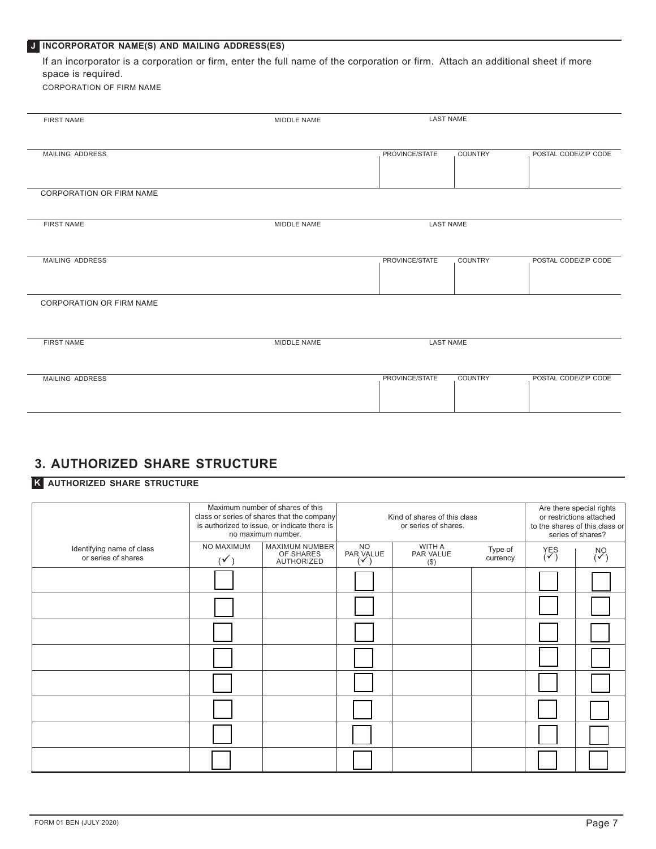#### **J INCORPORATOR NAME(S) AND MAILING ADDRESS(ES)**

If an incorporator is a corporation or firm, enter the full name of the corporation or firm. Attach an additional sheet if more space is required.

CORPORATION OF FIRM NAME

| <b>FIRST NAME</b>               | MIDDLE NAME | <b>LAST NAME</b> |                |                      |
|---------------------------------|-------------|------------------|----------------|----------------------|
|                                 |             |                  |                |                      |
|                                 |             |                  |                |                      |
|                                 |             |                  |                |                      |
| MAILING ADDRESS                 |             | PROVINCE/STATE   | COUNTRY        | POSTAL CODE/ZIP CODE |
|                                 |             |                  |                |                      |
|                                 |             |                  |                |                      |
|                                 |             |                  |                |                      |
| <b>CORPORATION OR FIRM NAME</b> |             |                  |                |                      |
|                                 |             |                  |                |                      |
|                                 |             |                  |                |                      |
| <b>FIRST NAME</b>               | MIDDLE NAME | <b>LAST NAME</b> |                |                      |
|                                 |             |                  |                |                      |
|                                 |             |                  |                |                      |
|                                 |             |                  |                |                      |
| MAILING ADDRESS                 |             | PROVINCE/STATE   | <b>COUNTRY</b> | POSTAL CODE/ZIP CODE |
|                                 |             |                  |                |                      |
|                                 |             |                  |                |                      |
|                                 |             |                  |                |                      |
|                                 |             |                  |                |                      |
| <b>CORPORATION OR FIRM NAME</b> |             |                  |                |                      |
|                                 |             |                  |                |                      |
|                                 |             |                  |                |                      |
|                                 |             |                  |                |                      |
| <b>FIRST NAME</b>               | MIDDLE NAME | <b>LAST NAME</b> |                |                      |
|                                 |             |                  |                |                      |
|                                 |             |                  |                |                      |
|                                 |             |                  |                |                      |
| MAILING ADDRESS                 |             | PROVINCE/STATE   | <b>COUNTRY</b> | POSTAL CODE/ZIP CODE |
|                                 |             |                  |                |                      |
|                                 |             |                  |                |                      |
|                                 |             |                  |                |                      |
|                                 |             |                  |                |                      |

# **3. AUTHORIZED SHARE STRUCTURE**

#### **K AUTHORIZED SHARE STRUCTURE**

|                                                  | Maximum number of shares of this<br>class or series of shares that the company<br>is authorized to issue, or indicate there is<br>no maximum number. |                                           | Kind of shares of this class<br>or series of shares. |                                |                     | Are there special rights<br>or restrictions attached<br>to the shares of this class or<br>series of shares? |                     |
|--------------------------------------------------|------------------------------------------------------------------------------------------------------------------------------------------------------|-------------------------------------------|------------------------------------------------------|--------------------------------|---------------------|-------------------------------------------------------------------------------------------------------------|---------------------|
| Identifying name of class<br>or series of shares | NO MAXIMUM<br>V                                                                                                                                      | MAXIMUM NUMBER<br>OF SHARES<br>AUTHORIZED | <b>NO</b><br>PAR VALUE<br>$\checkmark$               | WITH A<br>PAR VALUE<br>$($ \$) | Type of<br>currency | $Y_{(V)}^{ES}$                                                                                              | $\overset{N}{\sim}$ |
|                                                  |                                                                                                                                                      |                                           |                                                      |                                |                     |                                                                                                             |                     |
|                                                  |                                                                                                                                                      |                                           |                                                      |                                |                     |                                                                                                             |                     |
|                                                  |                                                                                                                                                      |                                           |                                                      |                                |                     |                                                                                                             |                     |
|                                                  |                                                                                                                                                      |                                           |                                                      |                                |                     |                                                                                                             |                     |
|                                                  |                                                                                                                                                      |                                           |                                                      |                                |                     |                                                                                                             |                     |
|                                                  |                                                                                                                                                      |                                           |                                                      |                                |                     |                                                                                                             |                     |
|                                                  |                                                                                                                                                      |                                           |                                                      |                                |                     |                                                                                                             |                     |
|                                                  |                                                                                                                                                      |                                           |                                                      |                                |                     |                                                                                                             |                     |